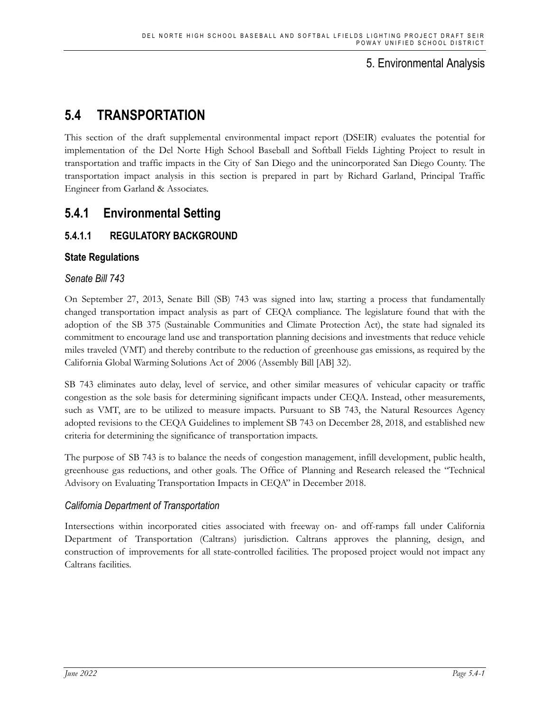## 5. Environmental Analysis

# **5.4 TRANSPORTATION**

This section of the draft supplemental environmental impact report (DSEIR) evaluates the potential for implementation of the Del Norte High School Baseball and Softball Fields Lighting Project to result in transportation and traffic impacts in the City of San Diego and the unincorporated San Diego County. The transportation impact analysis in this section is prepared in part by Richard Garland, Principal Traffic Engineer from Garland & Associates.

# **5.4.1 Environmental Setting**

## **5.4.1.1 REGULATORY BACKGROUND**

## **State Regulations**

## *Senate Bill 743*

On September 27, 2013, Senate Bill (SB) 743 was signed into law, starting a process that fundamentally changed transportation impact analysis as part of CEQA compliance. The legislature found that with the adoption of the SB 375 (Sustainable Communities and Climate Protection Act), the state had signaled its commitment to encourage land use and transportation planning decisions and investments that reduce vehicle miles traveled (VMT) and thereby contribute to the reduction of greenhouse gas emissions, as required by the California Global Warming Solutions Act of 2006 (Assembly Bill [AB] 32).

SB 743 eliminates auto delay, level of service, and other similar measures of vehicular capacity or traffic congestion as the sole basis for determining significant impacts under CEQA. Instead, other measurements, such as VMT, are to be utilized to measure impacts. Pursuant to SB 743, the Natural Resources Agency adopted revisions to the CEQA Guidelines to implement SB 743 on December 28, 2018, and established new criteria for determining the significance of transportation impacts.

The purpose of SB 743 is to balance the needs of congestion management, infill development, public health, greenhouse gas reductions, and other goals. The Office of Planning and Research released the "Technical Advisory on Evaluating Transportation Impacts in CEQA" in December 2018.

## *California Department of Transportation*

Intersections within incorporated cities associated with freeway on- and off-ramps fall under California Department of Transportation (Caltrans) jurisdiction. Caltrans approves the planning, design, and construction of improvements for all state-controlled facilities. The proposed project would not impact any Caltrans facilities.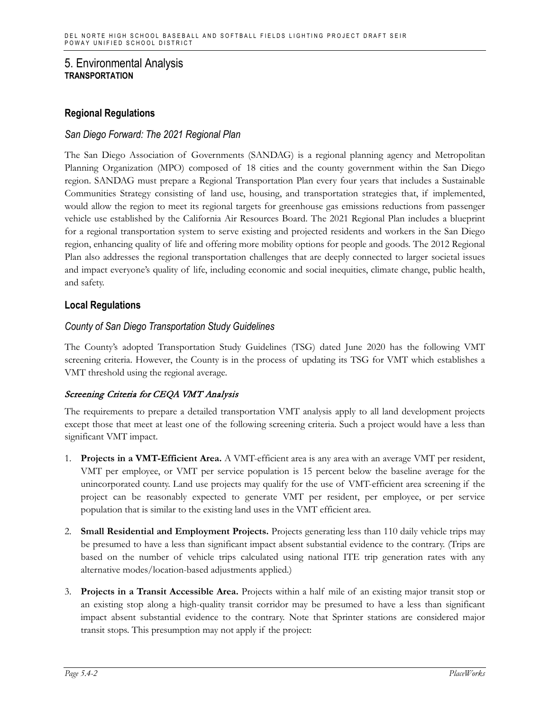### **Regional Regulations**

### *San Diego Forward: The 2021 Regional Plan*

The San Diego Association of Governments (SANDAG) is a regional planning agency and Metropolitan Planning Organization (MPO) composed of 18 cities and the county government within the San Diego region. SANDAG must prepare a Regional Transportation Plan every four years that includes a Sustainable Communities Strategy consisting of land use, housing, and transportation strategies that, if implemented, would allow the region to meet its regional targets for greenhouse gas emissions reductions from passenger vehicle use established by the California Air Resources Board. The 2021 Regional Plan includes a blueprint for a regional transportation system to serve existing and projected residents and workers in the San Diego region, enhancing quality of life and offering more mobility options for people and goods. The 2012 Regional Plan also addresses the regional transportation challenges that are deeply connected to larger societal issues and impact everyone's quality of life, including economic and social inequities, climate change, public health, and safety.

### **Local Regulations**

### *County of San Diego Transportation Study Guidelines*

The County's adopted Transportation Study Guidelines (TSG) dated June 2020 has the following VMT screening criteria. However, the County is in the process of updating its TSG for VMT which establishes a VMT threshold using the regional average.

### Screening Criteria for CEQA VMT Analysis

The requirements to prepare a detailed transportation VMT analysis apply to all land development projects except those that meet at least one of the following screening criteria. Such a project would have a less than significant VMT impact.

- 1. **Projects in a VMT-Efficient Area.** A VMT-efficient area is any area with an average VMT per resident, VMT per employee, or VMT per service population is 15 percent below the baseline average for the unincorporated county. Land use projects may qualify for the use of VMT-efficient area screening if the project can be reasonably expected to generate VMT per resident, per employee, or per service population that is similar to the existing land uses in the VMT efficient area.
- 2. **Small Residential and Employment Projects.** Projects generating less than 110 daily vehicle trips may be presumed to have a less than significant impact absent substantial evidence to the contrary. (Trips are based on the number of vehicle trips calculated using national ITE trip generation rates with any alternative modes/location-based adjustments applied.)
- 3. **Projects in a Transit Accessible Area.** Projects within a half mile of an existing major transit stop or an existing stop along a high-quality transit corridor may be presumed to have a less than significant impact absent substantial evidence to the contrary. Note that Sprinter stations are considered major transit stops. This presumption may not apply if the project: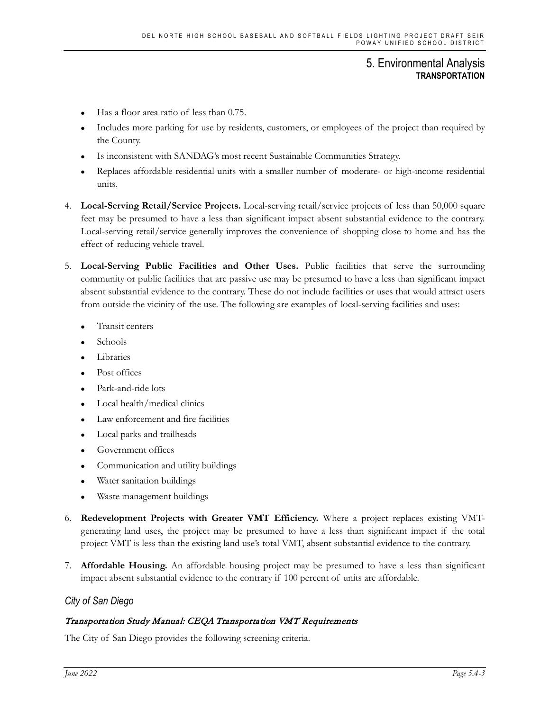- Has a floor area ratio of less than 0.75.
- Includes more parking for use by residents, customers, or employees of the project than required by the County.
- Is inconsistent with SANDAG's most recent Sustainable Communities Strategy.
- Replaces affordable residential units with a smaller number of moderate- or high-income residential units.
- 4. **Local-Serving Retail/Service Projects.** Local-serving retail/service projects of less than 50,000 square feet may be presumed to have a less than significant impact absent substantial evidence to the contrary. Local-serving retail/service generally improves the convenience of shopping close to home and has the effect of reducing vehicle travel.
- 5. **Local-Serving Public Facilities and Other Uses.** Public facilities that serve the surrounding community or public facilities that are passive use may be presumed to have a less than significant impact absent substantial evidence to the contrary. These do not include facilities or uses that would attract users from outside the vicinity of the use. The following are examples of local-serving facilities and uses:
	- Transit centers
	- Schools
	- Libraries
	- Post offices
	- Park-and-ride lots
	- Local health/medical clinics
	- Law enforcement and fire facilities
	- Local parks and trailheads
	- Government offices
	- Communication and utility buildings
	- Water sanitation buildings
	- Waste management buildings
- 6. **Redevelopment Projects with Greater VMT Efficiency.** Where a project replaces existing VMTgenerating land uses, the project may be presumed to have a less than significant impact if the total project VMT is less than the existing land use's total VMT, absent substantial evidence to the contrary.
- 7. **Affordable Housing.** An affordable housing project may be presumed to have a less than significant impact absent substantial evidence to the contrary if 100 percent of units are affordable.

### *City of San Diego*

#### Transportation Study Manual: CEQA Transportation VMT Requirements

The City of San Diego provides the following screening criteria.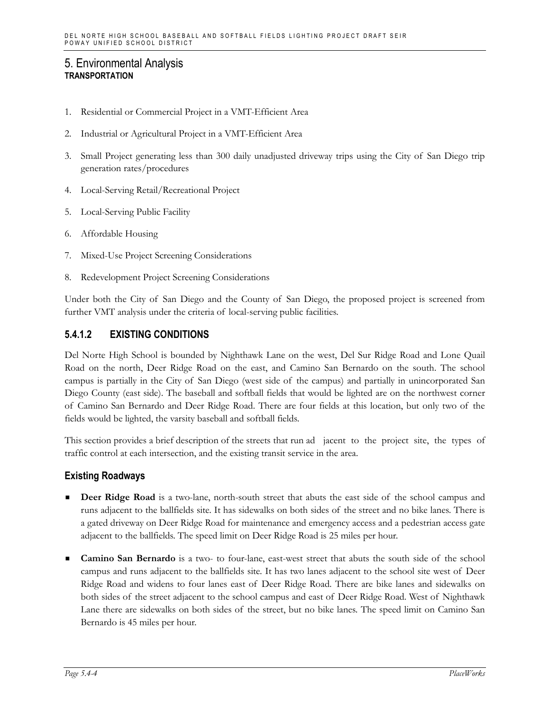- 1. Residential or Commercial Project in a VMT-Efficient Area
- 2. Industrial or Agricultural Project in a VMT-Efficient Area
- 3. Small Project generating less than 300 daily unadjusted driveway trips using the City of San Diego trip generation rates/procedures
- 4. Local-Serving Retail/Recreational Project
- 5. Local-Serving Public Facility
- 6. Affordable Housing
- 7. Mixed-Use Project Screening Considerations
- 8. Redevelopment Project Screening Considerations

Under both the City of San Diego and the County of San Diego, the proposed project is screened from further VMT analysis under the criteria of local-serving public facilities.

## **5.4.1.2 EXISTING CONDITIONS**

Del Norte High School is bounded by Nighthawk Lane on the west, Del Sur Ridge Road and Lone Quail Road on the north, Deer Ridge Road on the east, and Camino San Bernardo on the south. The school campus is partially in the City of San Diego (west side of the campus) and partially in unincorporated San Diego County (east side). The baseball and softball fields that would be lighted are on the northwest corner of Camino San Bernardo and Deer Ridge Road. There are four fields at this location, but only two of the fields would be lighted, the varsity baseball and softball fields.

This section provides a brief description of the streets that run ad jacent to the project site, the types of traffic control at each intersection, and the existing transit service in the area.

### **Existing Roadways**

- **Deer Ridge Road** is a two-lane, north-south street that abuts the east side of the school campus and runs adjacent to the ballfields site. It has sidewalks on both sides of the street and no bike lanes. There is a gated driveway on Deer Ridge Road for maintenance and emergency access and a pedestrian access gate adjacent to the ballfields. The speed limit on Deer Ridge Road is 25 miles per hour.
- **Camino San Bernardo** is a two- to four-lane, east-west street that abuts the south side of the school campus and runs adjacent to the ballfields site. It has two lanes adjacent to the school site west of Deer Ridge Road and widens to four lanes east of Deer Ridge Road. There are bike lanes and sidewalks on both sides of the street adjacent to the school campus and east of Deer Ridge Road. West of Nighthawk Lane there are sidewalks on both sides of the street, but no bike lanes. The speed limit on Camino San Bernardo is 45 miles per hour.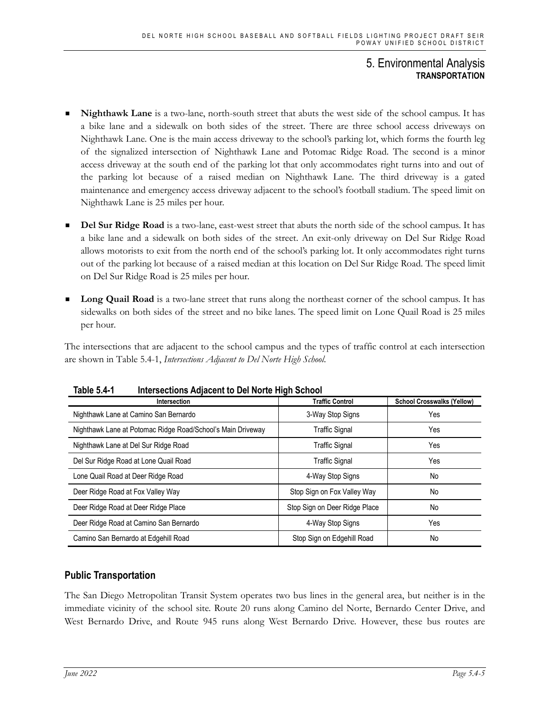- **Nighthawk Lane** is a two-lane, north-south street that abuts the west side of the school campus. It has a bike lane and a sidewalk on both sides of the street. There are three school access driveways on Nighthawk Lane. One is the main access driveway to the school's parking lot, which forms the fourth leg of the signalized intersection of Nighthawk Lane and Potomac Ridge Road. The second is a minor access driveway at the south end of the parking lot that only accommodates right turns into and out of the parking lot because of a raised median on Nighthawk Lane. The third driveway is a gated maintenance and emergency access driveway adjacent to the school's football stadium. The speed limit on Nighthawk Lane is 25 miles per hour.
- **Del Sur Ridge Road** is a two-lane, east-west street that abuts the north side of the school campus. It has a bike lane and a sidewalk on both sides of the street. An exit-only driveway on Del Sur Ridge Road allows motorists to exit from the north end of the school's parking lot. It only accommodates right turns out of the parking lot because of a raised median at this location on Del Sur Ridge Road. The speed limit on Del Sur Ridge Road is 25 miles per hour.
- **Long Quail Road** is a two-lane street that runs along the northeast corner of the school campus. It has sidewalks on both sides of the street and no bike lanes. The speed limit on Lone Quail Road is 25 miles per hour.

The intersections that are adjacent to the school campus and the types of traffic control at each intersection are shown in Table 5.4-1, *Intersections Adjacent to Del Norte High School*.

| Intersection                                                | .<br><b>Traffic Control</b>   | <b>School Crosswalks (Yellow)</b> |
|-------------------------------------------------------------|-------------------------------|-----------------------------------|
| Nighthawk Lane at Camino San Bernardo                       | 3-Way Stop Signs              | Yes                               |
| Nighthawk Lane at Potomac Ridge Road/School's Main Driveway | <b>Traffic Signal</b>         | Yes                               |
| Nighthawk Lane at Del Sur Ridge Road                        | <b>Traffic Signal</b>         | Yes                               |
| Del Sur Ridge Road at Lone Quail Road                       | <b>Traffic Signal</b>         | Yes                               |
| Lone Quail Road at Deer Ridge Road                          | 4-Way Stop Signs              | No                                |
| Deer Ridge Road at Fox Valley Way                           | Stop Sign on Fox Valley Way   | No                                |
| Deer Ridge Road at Deer Ridge Place                         | Stop Sign on Deer Ridge Place | No                                |
| Deer Ridge Road at Camino San Bernardo                      | 4-Way Stop Signs              | Yes                               |
| Camino San Bernardo at Edgehill Road                        | Stop Sign on Edgehill Road    | No                                |

**Table 5.4-1 Intersections Adjacent to Del Norte High School**

## **Public Transportation**

The San Diego Metropolitan Transit System operates two bus lines in the general area, but neither is in the immediate vicinity of the school site. Route 20 runs along Camino del Norte, Bernardo Center Drive, and West Bernardo Drive, and Route 945 runs along West Bernardo Drive. However, these bus routes are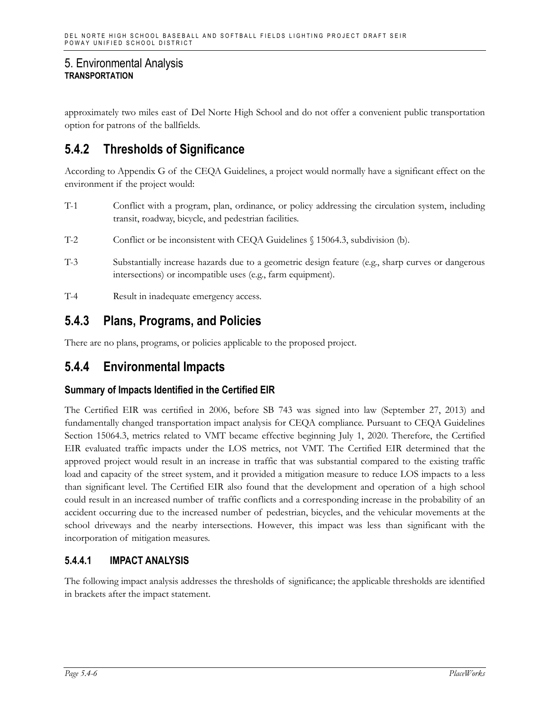approximately two miles east of Del Norte High School and do not offer a convenient public transportation option for patrons of the ballfields.

# **5.4.2 Thresholds of Significance**

According to Appendix G of the CEQA Guidelines, a project would normally have a significant effect on the environment if the project would:

- T-1 Conflict with a program, plan, ordinance, or policy addressing the circulation system, including transit, roadway, bicycle, and pedestrian facilities.
- T-2 Conflict or be inconsistent with CEQA Guidelines § 15064.3, subdivision (b).
- T-3 Substantially increase hazards due to a geometric design feature (e.g., sharp curves or dangerous intersections) or incompatible uses (e.g., farm equipment).
- T-4 Result in inadequate emergency access.

## **5.4.3 Plans, Programs, and Policies**

There are no plans, programs, or policies applicable to the proposed project.

## **5.4.4 Environmental Impacts**

## **Summary of Impacts Identified in the Certified EIR**

The Certified EIR was certified in 2006, before SB 743 was signed into law (September 27, 2013) and fundamentally changed transportation impact analysis for CEQA compliance. Pursuant to CEQA Guidelines Section 15064.3, metrics related to VMT became effective beginning July 1, 2020. Therefore, the Certified EIR evaluated traffic impacts under the LOS metrics, not VMT. The Certified EIR determined that the approved project would result in an increase in traffic that was substantial compared to the existing traffic load and capacity of the street system, and it provided a mitigation measure to reduce LOS impacts to a less than significant level. The Certified EIR also found that the development and operation of a high school could result in an increased number of traffic conflicts and a corresponding increase in the probability of an accident occurring due to the increased number of pedestrian, bicycles, and the vehicular movements at the school driveways and the nearby intersections. However, this impact was less than significant with the incorporation of mitigation measures.

## **5.4.4.1 IMPACT ANALYSIS**

The following impact analysis addresses the thresholds of significance; the applicable thresholds are identified in brackets after the impact statement.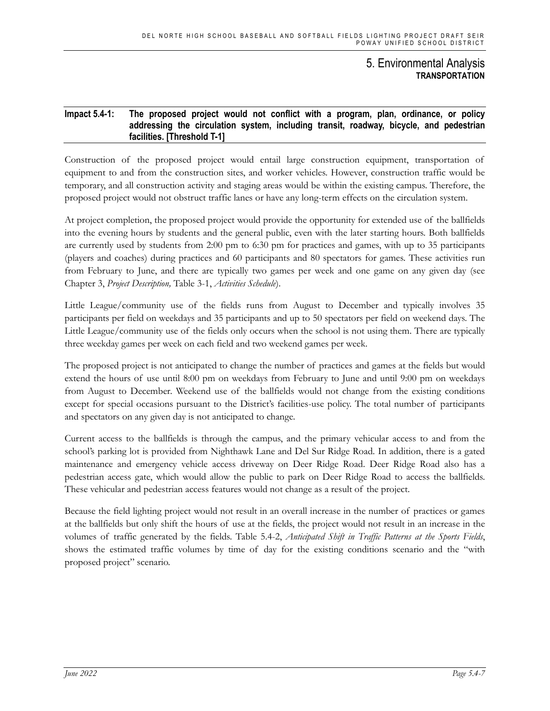#### **Impact 5.4-1: The proposed project would not conflict with a program, plan, ordinance, or policy addressing the circulation system, including transit, roadway, bicycle, and pedestrian facilities. [Threshold T-1]**

Construction of the proposed project would entail large construction equipment, transportation of equipment to and from the construction sites, and worker vehicles. However, construction traffic would be temporary, and all construction activity and staging areas would be within the existing campus. Therefore, the proposed project would not obstruct traffic lanes or have any long-term effects on the circulation system.

At project completion, the proposed project would provide the opportunity for extended use of the ballfields into the evening hours by students and the general public, even with the later starting hours. Both ballfields are currently used by students from 2:00 pm to 6:30 pm for practices and games, with up to 35 participants (players and coaches) during practices and 60 participants and 80 spectators for games. These activities run from February to June, and there are typically two games per week and one game on any given day (see Chapter 3, *Project Description,* Table 3-1, *Activities Schedule*).

Little League/community use of the fields runs from August to December and typically involves 35 participants per field on weekdays and 35 participants and up to 50 spectators per field on weekend days. The Little League/community use of the fields only occurs when the school is not using them. There are typically three weekday games per week on each field and two weekend games per week.

The proposed project is not anticipated to change the number of practices and games at the fields but would extend the hours of use until 8:00 pm on weekdays from February to June and until 9:00 pm on weekdays from August to December. Weekend use of the ballfields would not change from the existing conditions except for special occasions pursuant to the District's facilities-use policy. The total number of participants and spectators on any given day is not anticipated to change.

Current access to the ballfields is through the campus, and the primary vehicular access to and from the school's parking lot is provided from Nighthawk Lane and Del Sur Ridge Road. In addition, there is a gated maintenance and emergency vehicle access driveway on Deer Ridge Road. Deer Ridge Road also has a pedestrian access gate, which would allow the public to park on Deer Ridge Road to access the ballfields. These vehicular and pedestrian access features would not change as a result of the project.

Because the field lighting project would not result in an overall increase in the number of practices or games at the ballfields but only shift the hours of use at the fields, the project would not result in an increase in the volumes of traffic generated by the fields. Table 5.4-2, *Anticipated Shift in Traffic Patterns at the Sports Fields*, shows the estimated traffic volumes by time of day for the existing conditions scenario and the "with proposed project" scenario.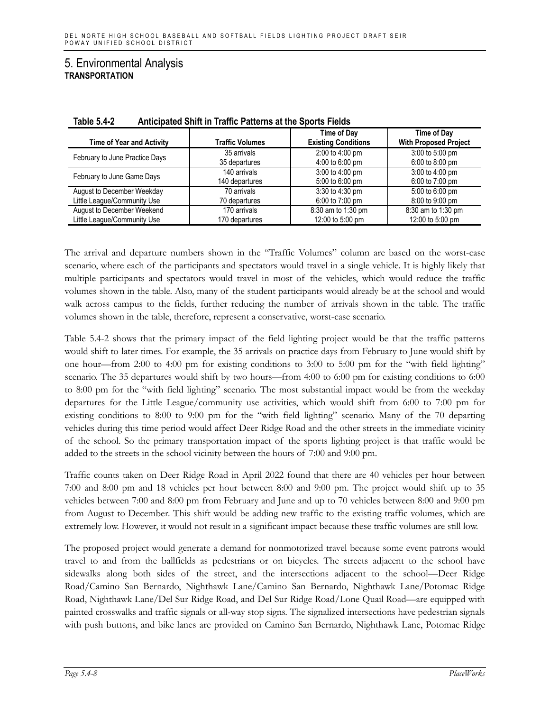| <b>Time of Year and Activity</b> | <b>Traffic Volumes</b> | <b>Time of Day</b><br><b>Existing Conditions</b> | Time of Day<br><b>With Proposed Project</b> |
|----------------------------------|------------------------|--------------------------------------------------|---------------------------------------------|
| February to June Practice Days   | 35 arrivals            | 2:00 to 4:00 pm                                  | 3:00 to 5:00 pm                             |
|                                  | 35 departures          | 4:00 to 6:00 pm                                  | $6:00$ to 8:00 pm                           |
| February to June Game Days       | 140 arrivals           | 3:00 to 4:00 pm                                  | 3:00 to 4:00 pm                             |
|                                  | 140 departures         | 5:00 to 6:00 pm                                  | 6:00 to 7:00 pm                             |
| August to December Weekday       | 70 arrivals            | 3:30 to 4:30 pm                                  | 5:00 to 6:00 pm                             |
| Little League/Community Use      | 70 departures          | 6:00 to 7:00 pm                                  | 8:00 to 9:00 pm                             |
| August to December Weekend       | 170 arrivals           | 8:30 am to 1:30 pm                               | 8:30 am to 1:30 pm                          |
| Little League/Community Use      | 170 departures         | 12:00 to 5:00 pm                                 | 12:00 to 5:00 pm                            |

**Table 5.4-2 Anticipated Shift in Traffic Patterns at the Sports Fields**

The arrival and departure numbers shown in the "Traffic Volumes" column are based on the worst-case scenario, where each of the participants and spectators would travel in a single vehicle. It is highly likely that multiple participants and spectators would travel in most of the vehicles, which would reduce the traffic volumes shown in the table. Also, many of the student participants would already be at the school and would walk across campus to the fields, further reducing the number of arrivals shown in the table. The traffic volumes shown in the table, therefore, represent a conservative, worst-case scenario.

Table 5.4-2 shows that the primary impact of the field lighting project would be that the traffic patterns would shift to later times. For example, the 35 arrivals on practice days from February to June would shift by one hour—from 2:00 to 4:00 pm for existing conditions to 3:00 to 5:00 pm for the "with field lighting" scenario. The 35 departures would shift by two hours—from 4:00 to 6:00 pm for existing conditions to 6:00 to 8:00 pm for the "with field lighting" scenario. The most substantial impact would be from the weekday departures for the Little League/community use activities, which would shift from 6:00 to 7:00 pm for existing conditions to 8:00 to 9:00 pm for the "with field lighting" scenario. Many of the 70 departing vehicles during this time period would affect Deer Ridge Road and the other streets in the immediate vicinity of the school. So the primary transportation impact of the sports lighting project is that traffic would be added to the streets in the school vicinity between the hours of 7:00 and 9:00 pm.

Traffic counts taken on Deer Ridge Road in April 2022 found that there are 40 vehicles per hour between 7:00 and 8:00 pm and 18 vehicles per hour between 8:00 and 9:00 pm. The project would shift up to 35 vehicles between 7:00 and 8:00 pm from February and June and up to 70 vehicles between 8:00 and 9:00 pm from August to December. This shift would be adding new traffic to the existing traffic volumes, which are extremely low. However, it would not result in a significant impact because these traffic volumes are still low.

The proposed project would generate a demand for nonmotorized travel because some event patrons would travel to and from the ballfields as pedestrians or on bicycles. The streets adjacent to the school have sidewalks along both sides of the street, and the intersections adjacent to the school—Deer Ridge Road/Camino San Bernardo, Nighthawk Lane/Camino San Bernardo, Nighthawk Lane/Potomac Ridge Road, Nighthawk Lane/Del Sur Ridge Road, and Del Sur Ridge Road/Lone Quail Road—are equipped with painted crosswalks and traffic signals or all-way stop signs. The signalized intersections have pedestrian signals with push buttons, and bike lanes are provided on Camino San Bernardo, Nighthawk Lane, Potomac Ridge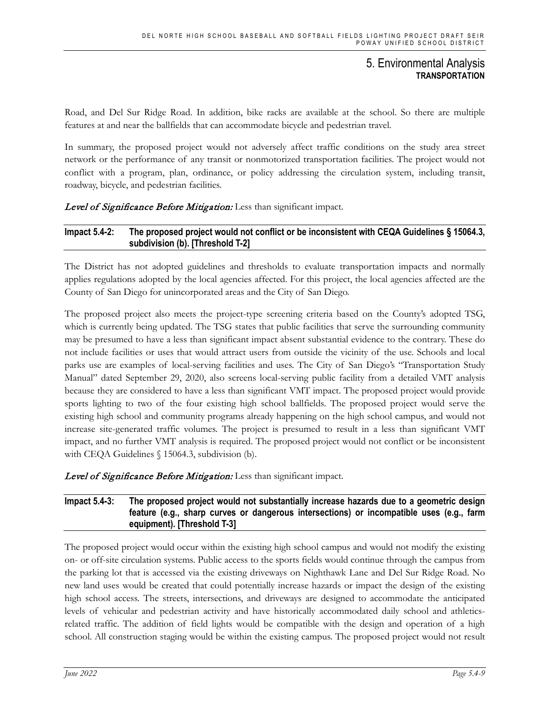Road, and Del Sur Ridge Road. In addition, bike racks are available at the school. So there are multiple features at and near the ballfields that can accommodate bicycle and pedestrian travel.

In summary, the proposed project would not adversely affect traffic conditions on the study area street network or the performance of any transit or nonmotorized transportation facilities. The project would not conflict with a program, plan, ordinance, or policy addressing the circulation system, including transit, roadway, bicycle, and pedestrian facilities.

### Level of Significance Before Mitigation: Less than significant impact.

#### **Impact 5.4-2: The proposed project would not conflict or be inconsistent with CEQA Guidelines § 15064.3, subdivision (b). [Threshold T-2]**

The District has not adopted guidelines and thresholds to evaluate transportation impacts and normally applies regulations adopted by the local agencies affected. For this project, the local agencies affected are the County of San Diego for unincorporated areas and the City of San Diego.

The proposed project also meets the project-type screening criteria based on the County's adopted TSG, which is currently being updated. The TSG states that public facilities that serve the surrounding community may be presumed to have a less than significant impact absent substantial evidence to the contrary. These do not include facilities or uses that would attract users from outside the vicinity of the use. Schools and local parks use are examples of local-serving facilities and uses. The City of San Diego's "Transportation Study Manual" dated September 29, 2020, also screens local-serving public facility from a detailed VMT analysis because they are considered to have a less than significant VMT impact. The proposed project would provide sports lighting to two of the four existing high school ballfields. The proposed project would serve the existing high school and community programs already happening on the high school campus, and would not increase site-generated traffic volumes. The project is presumed to result in a less than significant VMT impact, and no further VMT analysis is required. The proposed project would not conflict or be inconsistent with CEQA Guidelines § 15064.3, subdivision (b).

Level of Significance Before Mitigation: Less than significant impact.

### **Impact 5.4-3: The proposed project would not substantially increase hazards due to a geometric design feature (e.g., sharp curves or dangerous intersections) or incompatible uses (e.g., farm equipment). [Threshold T-3]**

The proposed project would occur within the existing high school campus and would not modify the existing on- or off-site circulation systems. Public access to the sports fields would continue through the campus from the parking lot that is accessed via the existing driveways on Nighthawk Lane and Del Sur Ridge Road. No new land uses would be created that could potentially increase hazards or impact the design of the existing high school access. The streets, intersections, and driveways are designed to accommodate the anticipated levels of vehicular and pedestrian activity and have historically accommodated daily school and athleticsrelated traffic. The addition of field lights would be compatible with the design and operation of a high school. All construction staging would be within the existing campus. The proposed project would not result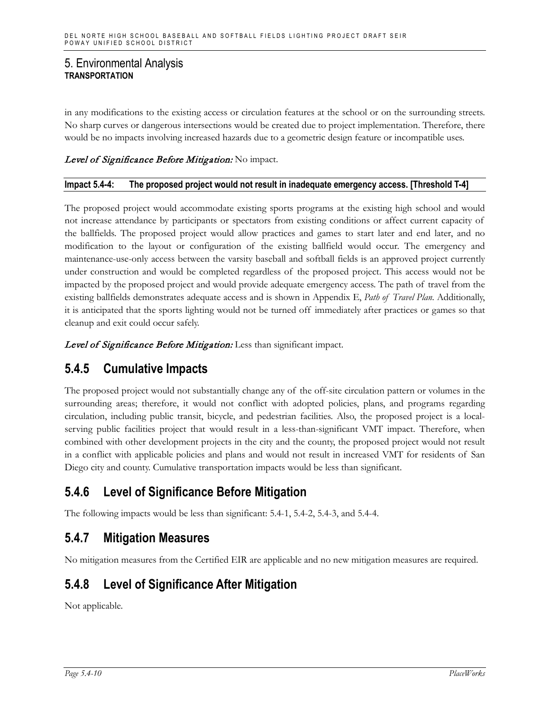in any modifications to the existing access or circulation features at the school or on the surrounding streets. No sharp curves or dangerous intersections would be created due to project implementation. Therefore, there would be no impacts involving increased hazards due to a geometric design feature or incompatible uses.

### Level of Significance Before Mitigation: No impact.

#### **Impact 5.4-4: The proposed project would not result in inadequate emergency access. [Threshold T-4]**

The proposed project would accommodate existing sports programs at the existing high school and would not increase attendance by participants or spectators from existing conditions or affect current capacity of the ballfields. The proposed project would allow practices and games to start later and end later, and no modification to the layout or configuration of the existing ballfield would occur. The emergency and maintenance-use-only access between the varsity baseball and softball fields is an approved project currently under construction and would be completed regardless of the proposed project. This access would not be impacted by the proposed project and would provide adequate emergency access. The path of travel from the existing ballfields demonstrates adequate access and is shown in Appendix E, *Path of Travel Plan*. Additionally, it is anticipated that the sports lighting would not be turned off immediately after practices or games so that cleanup and exit could occur safely.

Level of Significance Before Mitigation: Less than significant impact.

## **5.4.5 Cumulative Impacts**

The proposed project would not substantially change any of the off-site circulation pattern or volumes in the surrounding areas; therefore, it would not conflict with adopted policies, plans, and programs regarding circulation, including public transit, bicycle, and pedestrian facilities. Also, the proposed project is a localserving public facilities project that would result in a less-than-significant VMT impact. Therefore, when combined with other development projects in the city and the county, the proposed project would not result in a conflict with applicable policies and plans and would not result in increased VMT for residents of San Diego city and county. Cumulative transportation impacts would be less than significant.

# **5.4.6 Level of Significance Before Mitigation**

The following impacts would be less than significant: 5.4-1, 5.4-2, 5.4-3, and 5.4-4.

## **5.4.7 Mitigation Measures**

No mitigation measures from the Certified EIR are applicable and no new mitigation measures are required.

## **5.4.8 Level of Significance After Mitigation**

Not applicable.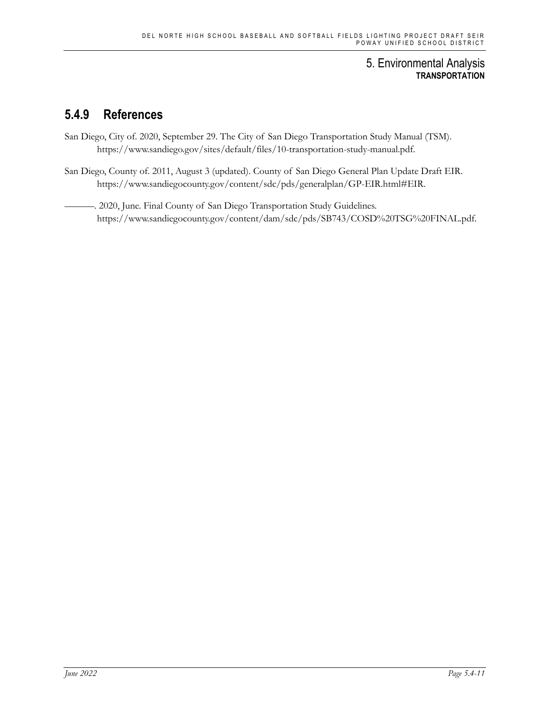# **5.4.9 References**

- San Diego, City of. 2020, September 29. The City of San Diego Transportation Study Manual (TSM). https://www.sandiego.gov/sites/default/files/10-transportation-study-manual.pdf.
- San Diego, County of. 2011, August 3 (updated). County of San Diego General Plan Update Draft EIR. https://www.sandiegocounty.gov/content/sdc/pds/generalplan/GP-EIR.html#EIR.
	- -. 2020, June. Final County of San Diego Transportation Study Guidelines. https://www.sandiegocounty.gov/content/dam/sdc/pds/SB743/COSD%20TSG%20FINAL.pdf.